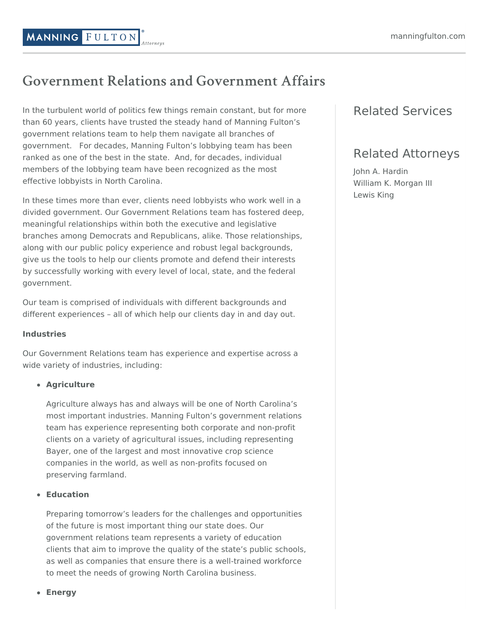# **Government Relations and Government Affairs**

In the turbulent world of politics few things remain constant, but for more than 60 years, clients have trusted the steady hand of Manning Fulton's government relations team to help them navigate all branches of government. For decades, Manning Fulton's lobbying team has been ranked as one of the best in the state. And, for decades, individual members of the lobbying team have been recognized as the most effective lobbyists in North Carolina.

In these times more than ever, clients need lobbyists who work well in a divided government. Our Government Relations team has fostered deep, meaningful relationships within both the executive and legislative branches among Democrats and Republicans, alike. Those relationships, along with our public policy experience and robust legal backgrounds, give us the tools to help our clients promote and defend their interests by successfully working with every level of local, state, and the federal government.

Our team is comprised of individuals with different backgrounds and different experiences – all of which help our clients day in and day out.

#### **Industries**

Our Government Relations team has experience and expertise across a wide variety of industries, including:

### **Agriculture**

Agriculture always has and always will be one of North Carolina's most important industries. Manning Fulton's government relations team has experience representing both corporate and non-profit clients on a variety of agricultural issues, including representing Bayer, one of the largest and most innovative crop science companies in the world, as well as non-profits focused on preserving farmland.

### **Education**

Preparing tomorrow's leaders for the challenges and opportunities of the future is most important thing our state does. Our government relations team represents a variety of education clients that aim to improve the quality of the state's public schools, as well as companies that ensure there is a well-trained workforce to meet the needs of growing North Carolina business.

# Related Services

## Related Attorneys

John A. [Hardin](https://www.manningfulton.com/people/attorneys/john-a-hardin/) William K. [Morgan](https://www.manningfulton.com/people/attorneys/william-k-morgan/) III [Lewis](https://www.manningfulton.com/people/government-relations-advisor/lewis-king/) King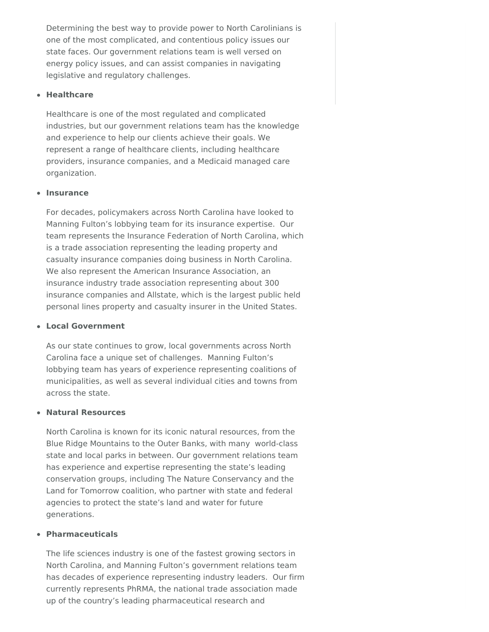Determining the best way to provide power to North Carolinians is one of the most complicated, and contentious policy issues our state faces. Our government relations team is well versed on energy policy issues, and can assist companies in navigating legislative and regulatory challenges.

#### **Healthcare**

Healthcare is one of the most regulated and complicated industries, but our government relations team has the knowledge and experience to help our clients achieve their goals. We represent a range of healthcare clients, including healthcare providers, insurance companies, and a Medicaid managed care organization.

#### **Insurance**

For decades, policymakers across North Carolina have looked to Manning Fulton's lobbying team for its insurance expertise. Our team represents the Insurance Federation of North Carolina, which is a trade association representing the leading property and casualty insurance companies doing business in North Carolina. We also represent the American Insurance Association, an insurance industry trade association representing about 300 insurance companies and Allstate, which is the largest public held personal lines property and casualty insurer in the United States.

#### **Local Government**

As our state continues to grow, local governments across North Carolina face a unique set of challenges. Manning Fulton's lobbying team has years of experience representing coalitions of municipalities, as well as several individual cities and towns from across the state.

#### **Natural Resources**

North Carolina is known for its iconic natural resources, from the Blue Ridge Mountains to the Outer Banks, with many world-class state and local parks in between. Our government relations team has experience and expertise representing the state's leading conservation groups, including The Nature Conservancy and the Land for Tomorrow coalition, who partner with state and federal agencies to protect the state's land and water for future generations.

#### **Pharmaceuticals**

The life sciences industry is one of the fastest growing sectors in North Carolina, and Manning Fulton's government relations team has decades of experience representing industry leaders. Our firm currently represents PhRMA, the national trade association made up of the country's leading pharmaceutical research and